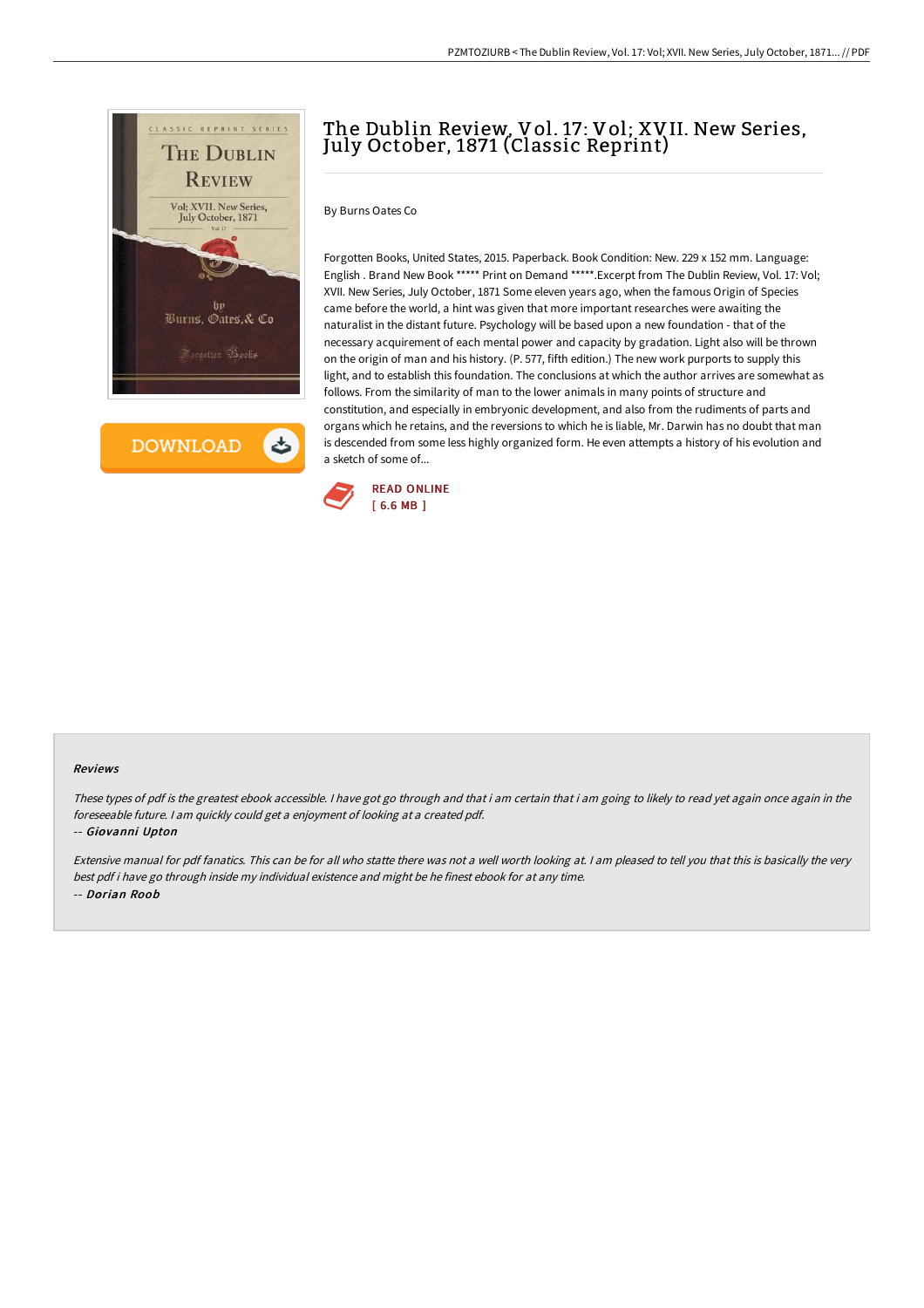

**DOWNLOAD** 

ٹ

## The Dublin Review, Vol. 17: Vol; XVII. New Series, July October, 1871 (Classic Reprint)

By Burns Oates Co

Forgotten Books, United States, 2015. Paperback. Book Condition: New. 229 x 152 mm. Language: English . Brand New Book \*\*\*\*\* Print on Demand \*\*\*\*\*.Excerpt from The Dublin Review, Vol. 17: Vol; XVII. New Series, July October, 1871 Some eleven years ago, when the famous Origin of Species came before the world, a hint was given that more important researches were awaiting the naturalist in the distant future. Psychology will be based upon a new foundation - that of the necessary acquirement of each mental power and capacity by gradation. Light also will be thrown on the origin of man and his history. (P. 577, fifth edition.) The new work purports to supply this light, and to establish this foundation. The conclusions at which the author arrives are somewhat as follows. From the similarity of man to the lower animals in many points of structure and constitution, and especially in embryonic development, and also from the rudiments of parts and organs which he retains, and the reversions to which he is liable, Mr. Darwin has no doubt that man is descended from some less highly organized form. He even attempts a history of his evolution and a sketch of some of...



## Reviews

These types of pdf is the greatest ebook accessible. <sup>I</sup> have got go through and that i am certain that i am going to likely to read yet again once again in the foreseeable future. <sup>I</sup> am quickly could get <sup>a</sup> enjoyment of looking at <sup>a</sup> created pdf.

-- Giovanni Upton

Extensive manual for pdf fanatics. This can be for all who statte there was not <sup>a</sup> well worth looking at. <sup>I</sup> am pleased to tell you that this is basically the very best pdf i have go through inside my individual existence and might be he finest ebook for at any time. -- Dorian Roob